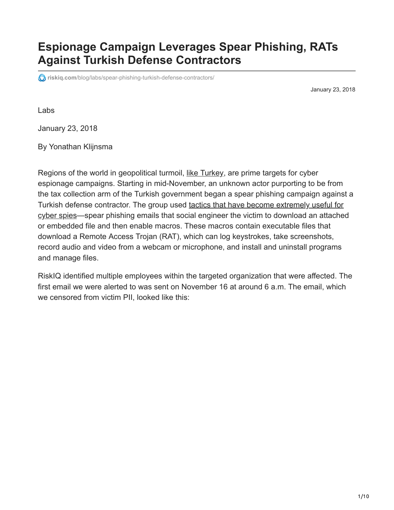# **Espionage Campaign Leverages Spear Phishing, RATs Against Turkish Defense Contractors**

**riskiq.com**[/blog/labs/spear-phishing-turkish-defense-contractors/](https://www.riskiq.com/blog/labs/spear-phishing-turkish-defense-contractors/)

January 23, 2018

Labs

January 23, 2018

By Yonathan Klijnsma

Regions of the world in geopolitical turmoil, [like Turkey,](https://www.riskiq.com/blog/labs/energetic-bear/) are prime targets for cyber espionage campaigns. Starting in mid-November, an unknown actor purporting to be from the tax collection arm of the Turkish government began a spear phishing campaign against a Turkish defense contractor. The group used tactics that have become extremely useful for [cyber spies—spear phishing emails that social engineer the victim to download an attache](https://www.riskiq.com/blog/labs/htprat/)d or embedded file and then enable macros. These macros contain executable files that download a Remote Access Trojan (RAT), which can log keystrokes, take screenshots, record audio and video from a webcam or microphone, and install and uninstall programs and manage files.

RiskIQ identified multiple employees within the targeted organization that were affected. The first email we were alerted to was sent on November 16 at around 6 a.m. The email, which we censored from victim PII, looked like this: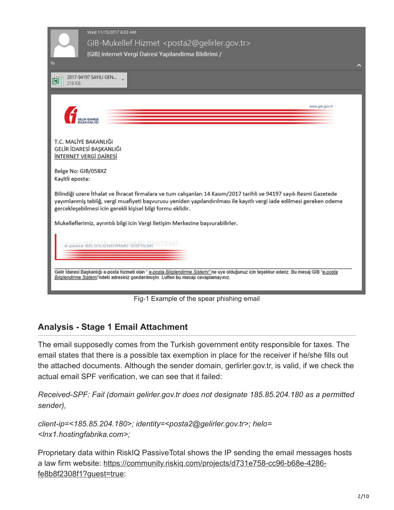| Wed 11/15/2017 6:03 AM<br>GIB-Mukellef Hizmet <posta2@gelirler.gov.tr><br/>[GIB] Internet Vergi Dairesi Yapilandirma Bildirimi /<br/>To<br/>Λ</posta2@gelirler.gov.tr>                                                                                                                                      |
|-------------------------------------------------------------------------------------------------------------------------------------------------------------------------------------------------------------------------------------------------------------------------------------------------------------|
| 2017-94197 SAYILI GEN<br>⊠<br>218 KB                                                                                                                                                                                                                                                                        |
| www.gib.gov.tr                                                                                                                                                                                                                                                                                              |
| T.C. MALİYE BAKANLIĞI<br>GELİR İDARESİ BAŞKANLIĞI<br><b>INTERNET VERGI DAIRESI</b>                                                                                                                                                                                                                          |
| Belge No: GIB/058XZ<br>Kayitli eposta:                                                                                                                                                                                                                                                                      |
| Bilindiği uzere İthalat ve İhracat firmalara ve tum calışanları 14 Kasım/2017 tarihli ve 94197 sayılı Resmi Gazetede<br>yayımlanmiş tebliğ, vergi muafiyeti başvurusu yeniden yapılandırılması ile kayıtlı vergi iade edilmesi gereken odeme<br>gercekleşebilmesi icin gerekli kişisel bilgi formu eklidir. |
| Mukelleflerimiz, ayrıntılı bilgi icin Vergi Iletişim Merkezine başvurabilirler.                                                                                                                                                                                                                             |
| e-posta BILGLENDIRME SISTEMI STEMI                                                                                                                                                                                                                                                                          |
| Gelir İdaresi Başkanlığı e-posta hizmeti olan " e-posta Bilgilendirme Sistemi"ne uye olduğunuz icin teşekkur ederiz. Bu mesaj GİB "e-posta<br>Bilgilendirme Sistem!"ndeki adresiniz gonderılmıştır. Lutfen bu mesajı cevaplamayınız.                                                                        |

Fig-1 Example of the spear phishing email

# **Analysis - Stage 1 Email Attachment**

The email supposedly comes from the Turkish government entity responsible for taxes. The email states that there is a possible tax exemption in place for the receiver if he/she fills out the attached documents. Although the sender domain, gerlirler.gov.tr, is valid, if we check the actual email SPF verification, we can see that it failed:

*Received-SPF: Fail (domain gelirler.gov.tr does not designate 185.85.204.180 as a permitted sender),*

*client-ip=<185.85.204.180>; identity=<posta2@gelirler.gov.tr>; helo= <lnx1.hostingfabrika.com>;*

Proprietary data within RiskIQ PassiveTotal shows the IP sending the email messages hosts [a law firm website: https://community.riskiq.com/projects/d731e758-cc96-b68e-4286](https://community.riskiq.com/projects/d731e758-cc96-b68e-4286-fe8b8f2308f1?guest=true) fe8b8f2308f1?guest=true: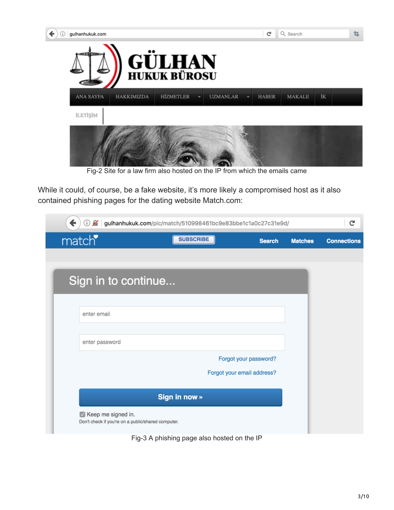

Fig-2 Site for a law firm also hosted on the IP from which the emails came

While it could, of course, be a fake website, it's more likely a compromised host as it also contained phishing pages for the dating website Match.com:

| ←<br>z.<br>(i)     |                                                                          | gulhanhukuk.com/pic/match/510998461bc9e83bbe1c1a0c27c31e9d/ |                            |                | c                  |
|--------------------|--------------------------------------------------------------------------|-------------------------------------------------------------|----------------------------|----------------|--------------------|
| match <sup>•</sup> |                                                                          | <b>SUBSCRIBE</b>                                            | <b>Search</b>              | <b>Matches</b> | <b>Connections</b> |
|                    |                                                                          |                                                             |                            |                |                    |
|                    | Sign in to continue                                                      |                                                             |                            |                |                    |
|                    |                                                                          |                                                             |                            |                |                    |
| enter email        |                                                                          |                                                             |                            |                |                    |
|                    |                                                                          |                                                             |                            |                |                    |
| enter password     |                                                                          |                                                             |                            |                |                    |
|                    |                                                                          |                                                             | Forgot your password?      |                |                    |
|                    |                                                                          |                                                             | Forgot your email address? |                |                    |
|                    |                                                                          | Sign in now »                                               |                            |                |                    |
|                    | Keep me signed in.<br>Don't check if you're on a public/shared computer. |                                                             |                            |                |                    |

Fig-3 A phishing page also hosted on the IP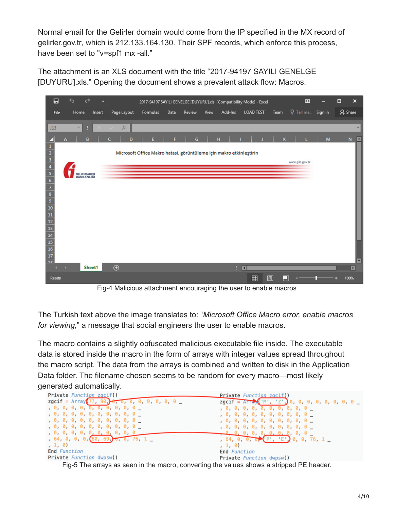Normal email for the Gelirler domain would come from the IP specified in the MX record of gelirler.gov.tr, which is 212.133.164.130. Their SPF records, which enforce this process, have been set to "v=spf1 mx -all."

The attachment is an XLS document with the title "2017-94197 SAYILI GENELGE [DUYURU].xls." Opening the document shows a prevalent attack flow: Macros.



Fig-4 Malicious attachment encouraging the user to enable macros

The Turkish text above the image translates to: "*Microsoft Office Macro error, enable macros for viewing,*" a message that social engineers the user to enable macros.

The macro contains a slightly obfuscated malicious executable file inside. The executable data is stored inside the macro in the form of arrays with integer values spread throughout the macro script. The data from the arrays is combined and written to disk in the Application Data folder. The filename chosen seems to be random for every macro—most likely generated automatically.



Fig-5 The arrays as seen in the macro, converting the values shows a stripped PE header.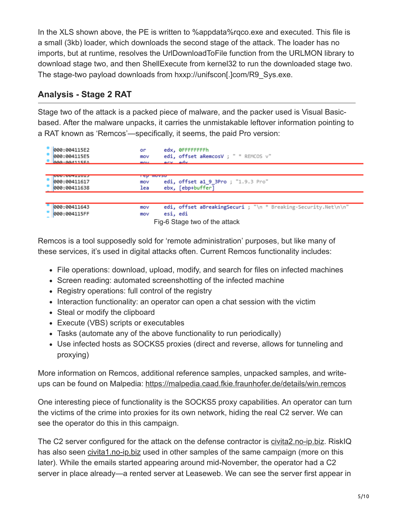In the XLS shown above, the PE is written to %appdata%rqco.exe and executed. This file is a small (3kb) loader, which downloads the second stage of the attack. The loader has no imports, but at runtime, resolves the UrlDownloadToFile function from the URLMON library to download stage two, and then ShellExecute from kernel32 to run the downloaded stage two. The stage-two payload downloads from hxxp://unifscon[.]com/R9\_Sys.exe.

# **Analysis - Stage 2 RAT**

Stage two of the attack is a packed piece of malware, and the packer used is Visual Basicbased. After the malware unpacks, it carries the unmistakable leftover information pointing to a RAT known as 'Remcos'—specifically, it seems, the paid Pro version:

| 000:004115E2<br>000:004115E5<br>$AA - AAA 115FA$ | edx, ØFFFFFFFFh<br>or<br>edi, offset aRemcosV : " * REMCOS v"<br>mov<br>arv adv<br><b>MOLL</b>                            |
|--------------------------------------------------|---------------------------------------------------------------------------------------------------------------------------|
| OOD, OUTLINES<br>000:00411617<br>000:00411638    | <b>LED IIIOASD</b><br>edi, offset a1 9 3Pro ; "1.9.3 Pro"<br>mov<br>ebx, [ebp+buffer]<br>lea                              |
| 000:00411643<br>000:004115FF                     | edi, offset aBreakingSecuri ; "\n * Breaking-Security.Net\n\n"<br>mov<br>esi, edi<br>mov<br>Fig-6 Stage two of the attack |

Remcos is a tool supposedly sold for 'remote administration' purposes, but like many of these services, it's used in digital attacks often. Current Remcos functionality includes:

- File operations: download, upload, modify, and search for files on infected machines
- Screen reading: automated screenshotting of the infected machine
- Registry operations: full control of the registry
- Interaction functionality: an operator can open a chat session with the victim
- Steal or modify the clipboard
- Execute (VBS) scripts or executables
- Tasks (automate any of the above functionality to run periodically)
- Use infected hosts as SOCKS5 proxies (direct and reverse, allows for tunneling and proxying)

More information on Remcos, additional reference samples, unpacked samples, and writeups can be found on Malpedia:<https://malpedia.caad.fkie.fraunhofer.de/details/win.remcos>

One interesting piece of functionality is the SOCKS5 proxy capabilities. An operator can turn the victims of the crime into proxies for its own network, hiding the real C2 server. We can see the operator do this in this campaign.

The C2 server configured for the attack on the defense contractor is [civita2.no-ip.biz.](https://community.riskiq.com/search/civita2.no-ip.biz) RiskIQ has also seen [civita1.no-ip.biz](https://community.riskiq.com/search/civita1.no-ip.biz) used in other samples of the same campaign (more on this later). While the emails started appearing around mid-November, the operator had a C2 server in place already—a rented server at Leaseweb. We can see the server first appear in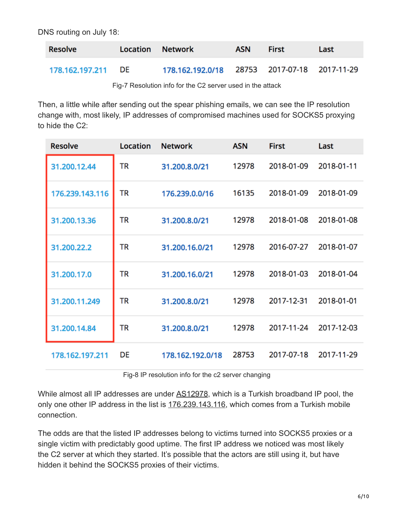DNS routing on July 18:

| <b>Resolve</b>     | Location Network                             | <b>ASN</b> | First | Last |
|--------------------|----------------------------------------------|------------|-------|------|
| 178.162.197.211 DE | 178.162.192.0/18 28753 2017-07-18 2017-11-29 |            |       |      |

Fig-7 Resolution info for the C2 server used in the attack

Then, a little while after sending out the spear phishing emails, we can see the IP resolution change with, most likely, IP addresses of compromised machines used for SOCKS5 proxying to hide the C2:

| <b>Resolve</b>  | Location | <b>Network</b>   | <b>ASN</b> | <b>First</b> | Last       |
|-----------------|----------|------------------|------------|--------------|------------|
| 31.200.12.44    | TR       | 31.200.8.0/21    | 12978      | 2018-01-09   | 2018-01-11 |
| 176.239.143.116 | TR       | 176.239.0.0/16   | 16135      | 2018-01-09   | 2018-01-09 |
| 31.200.13.36    | TR       | 31.200.8.0/21    | 12978      | 2018-01-08   | 2018-01-08 |
| 31.200.22.2     | TR       | 31.200.16.0/21   | 12978      | 2016-07-27   | 2018-01-07 |
| 31.200.17.0     | TR       | 31.200.16.0/21   | 12978      | 2018-01-03   | 2018-01-04 |
| 31.200.11.249   | TR       | 31.200.8.0/21    | 12978      | 2017-12-31   | 2018-01-01 |
| 31.200.14.84    | TR       | 31.200.8.0/21    | 12978      | 2017-11-24   | 2017-12-03 |
| 178.162.197.211 | DE       | 178.162.192.0/18 | 28753      | 2017-07-18   | 2017-11-29 |

Fig-8 IP resolution info for the c2 server changing

While almost all IP addresses are under [AS12978,](https://bgp.he.net/AS12978) which is a Turkish broadband IP pool, the only one other IP address in the list is [176.239.143.116,](https://community.riskiq.com/search/176.239.143.116) which comes from a Turkish mobile connection.

The odds are that the listed IP addresses belong to victims turned into SOCKS5 proxies or a single victim with predictably good uptime. The first IP address we noticed was most likely the C2 server at which they started. It's possible that the actors are still using it, but have hidden it behind the SOCKS5 proxies of their victims.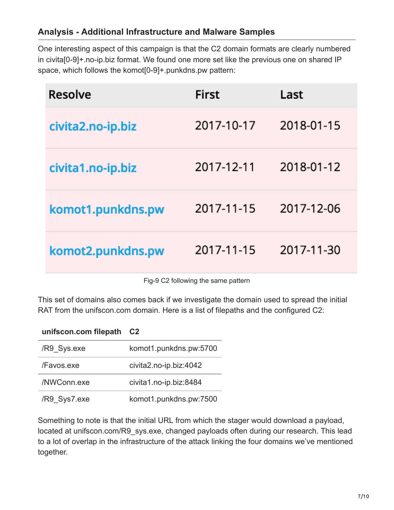One interesting aspect of this campaign is that the C2 domain formats are clearly numbered in civita[0-9]+.no-ip.biz format. We found one more set like the previous one on shared IP space, which follows the komot[0-9]+.punkdns.pw pattern:

| Resolve           | <b>First</b> | Last       |
|-------------------|--------------|------------|
| civita2.no-ip.biz | 2017-10-17   | 2018-01-15 |
| civita1.no-ip.biz | 2017-12-11   | 2018-01-12 |
| komot1.punkdns.pw | 2017-11-15   | 2017-12-06 |
| komot2.punkdns.pw | 2017-11-15   | 2017-11-30 |

Fig-9 C2 following the same pattern

This set of domains also comes back if we investigate the domain used to spread the initial RAT from the unifscon.com domain. Here is a list of filepaths and the configured C2:

#### **unifscon.com filepath C2**

| /R9 Sys.exe  | komot1.punkdns.pw:5700 |
|--------------|------------------------|
| /Favos.exe   | civita2.no-ip.biz:4042 |
| /NWConn.exe  | civita1.no-ip.biz:8484 |
| /R9 Sys7.exe | komot1.punkdns.pw:7500 |

Something to note is that the initial URL from which the stager would download a payload, located at unifscon.com/R9\_sys.exe, changed payloads often during our research. This lead to a lot of overlap in the infrastructure of the attack linking the four domains we've mentioned together.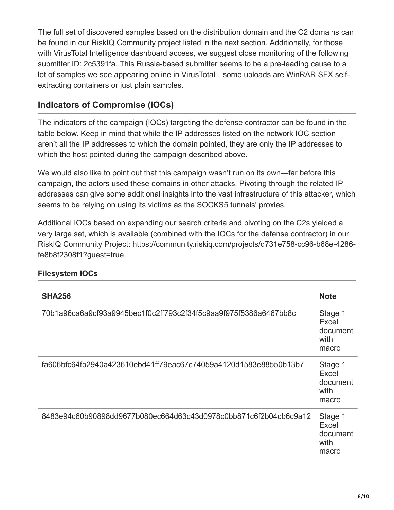The full set of discovered samples based on the distribution domain and the C2 domains can be found in our RiskIQ Community project listed in the next section. Additionally, for those with VirusTotal Intelligence dashboard access, we suggest close monitoring of the following submitter ID: 2c5391fa. This Russia-based submitter seems to be a pre-leading cause to a lot of samples we see appearing online in VirusTotal—some uploads are WinRAR SFX selfextracting containers or just plain samples.

# **Indicators of Compromise (IOCs)**

The indicators of the campaign (IOCs) targeting the defense contractor can be found in the table below. Keep in mind that while the IP addresses listed on the network IOC section aren't all the IP addresses to which the domain pointed, they are only the IP addresses to which the host pointed during the campaign described above.

We would also like to point out that this campaign wasn't run on its own—far before this campaign, the actors used these domains in other attacks. Pivoting through the related IP addresses can give some additional insights into the vast infrastructure of this attacker, which seems to be relying on using its victims as the SOCKS5 tunnels' proxies.

Additional IOCs based on expanding our search criteria and pivoting on the C2s yielded a very large set, which is available (combined with the IOCs for the defense contractor) in our [RiskIQ Community Project: https://community.riskiq.com/projects/d731e758-cc96-b68e-4286](https://community.riskiq.com/projects/d731e758-cc96-b68e-4286-fe8b8f2308f1?guest=true) fe8b8f2308f1?guest=true

| <b>SHA256</b>                                                    | <b>Note</b>                                          |
|------------------------------------------------------------------|------------------------------------------------------|
| 70b1a96ca6a9cf93a9945bec1f0c2ff793c2f34f5c9aa9f975f5386a6467bb8c | Stage 1<br><b>Excel</b><br>document<br>with<br>macro |
| fa606bfc64fb2940a423610ebd41ff79eac67c74059a4120d1583e88550b13b7 | Stage 1<br>Excel<br>document<br>with<br>macro        |
| 8483e94c60b90898dd9677b080ec664d63c43d0978c0bb871c6f2b04cb6c9a12 | Stage 1<br><b>Excel</b><br>document<br>with<br>macro |

#### **Filesystem IOCs**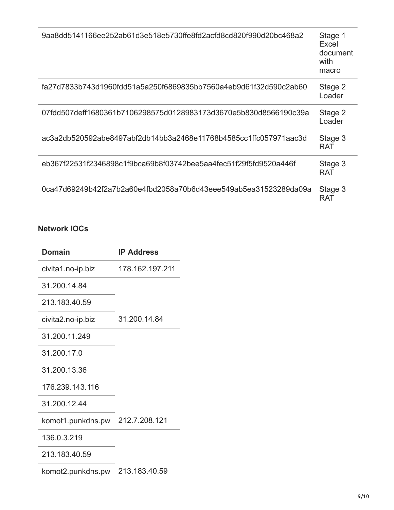| 9aa8dd5141166ee252ab61d3e518e5730ffe8fd2acfd8cd820f990d20bc468a2 | Stage 1<br>Excel<br>document<br>with<br>macro |
|------------------------------------------------------------------|-----------------------------------------------|
| fa27d7833b743d1960fdd51a5a250f6869835bb7560a4eb9d61f32d590c2ab60 | Stage 2<br>Loader                             |
| 07fdd507deff1680361b7106298575d0128983173d3670e5b830d8566190c39a | Stage 2<br>Loader                             |
| ac3a2db520592abe8497abf2db14bb3a2468e11768b4585cc1ffc057971aac3d | Stage 3<br>RAT                                |
| eb367f22531f2346898c1f9bca69b8f03742bee5aa4fec51f29f5fd9520a446f | Stage 3<br><b>RAT</b>                         |
| 0ca47d69249b42f2a7b2a60e4fbd2058a70b6d43eee549ab5ea31523289da09a | Stage 3<br>RAT                                |

# **Network IOCs**

| <b>Domain</b>     | <b>IP Address</b> |
|-------------------|-------------------|
| civita1.no-ip.biz | 178.162.197.211   |
| 31.200.14.84      |                   |
| 213.183.40.59     |                   |
| civita2.no-ip.biz | 31.200.14.84      |
| 31.200.11.249     |                   |
| 31.200.17.0       |                   |
| 31.200.13.36      |                   |
| 176.239.143.116   |                   |
| 31.200.12.44      |                   |
| komot1.punkdns.pw | 212.7.208.121     |
| 136.0.3.219       |                   |
| 213.183.40.59     |                   |
| komot2.punkdns.pw | 213.183.40.59     |